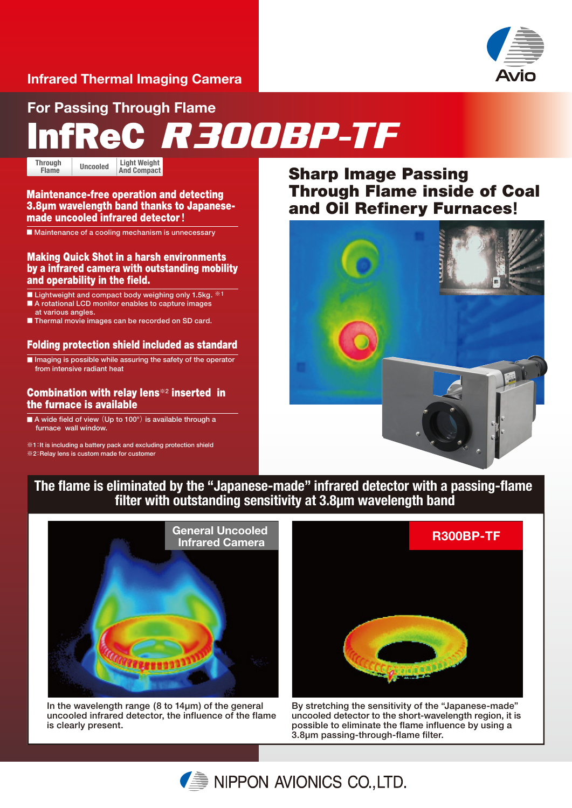# **Infrared Thermal Imaging Camera**



**For Passing Through Flame**

# *R300BP-TF*

**Light Weight Through | Uncooled | Light Weight <br>Flame | Uncooled | And Compact Flame**

## Maintenance-free operation and detecting 3.8µm wavelength band thanks to Japanesemade uncooled infrared detector**!**

■ Maintenance of a cooling mechanism is unnecessary

Making Quick Shot in a harsh environments by a infrared camera with outstanding mobility and operability in the field.

■ Lightweight and compact body weighing only 1.5kg. <sup>※1</sup>

- **A rotational LCD monitor enables to capture images** at various angles.
- Thermal movie images can be recorded on SD card.

# Folding protection shield included as standard

■ **Imaging is possible while assuring the safety of the operator** from intensive radiant heat

## Combination with relay lens**※2** inserted in the furnace is available

■ A wide field of view (Up to 100°) is available through a furnace wall window.

**※**1**:**It is including a battery pack and excluding protection shield **※**2**:**Relay lens is custom made for customer

# Sharp Image Passing Through Flame inside of Coal and Oil Refinery Furnaces**!**



**The flame is eliminated by the "Japanese-made" infrared detector with a passing-flame filter with outstanding sensitivity at 3.8µm wavelength band**



In the wavelength range (8 to 14µm) of the general uncooled infrared detector, the influence of the flame is clearly present.



By stretching the sensitivity of the "Japanese-made" uncooled detector to the short-wavelength region, it is possible to eliminate the flame influence by using a 3.8µm passing-through-flame filter.